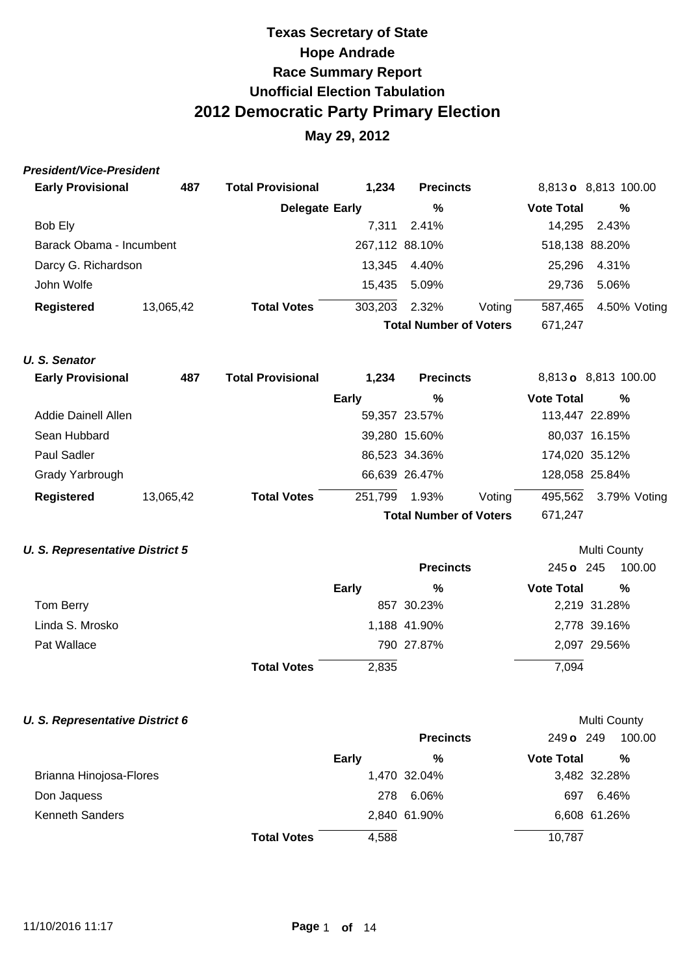## **May 29, 2012**

| President/Vice-President |
|--------------------------|
|--------------------------|

| <b>Early Provisional</b> | 487       | <b>Total Provisional</b>      | 1,234          | <b>Precincts</b> |         |                   | 8,813 o 8,813 100.00 |  |
|--------------------------|-----------|-------------------------------|----------------|------------------|---------|-------------------|----------------------|--|
|                          |           | Delegate Early                |                | %                |         | <b>Vote Total</b> | %                    |  |
| Bob Ely                  |           |                               | 7.311          | 2.41%            |         | 14.295            | 2.43%                |  |
| Barack Obama - Incumbent |           |                               | 267,112 88.10% |                  |         | 518,138 88.20%    |                      |  |
| Darcy G. Richardson      |           |                               |                | 13,345 4.40%     |         | 25.296            | 4.31%                |  |
| John Wolfe               |           |                               |                | 15,435 5.09%     |         | 29.736            | 5.06%                |  |
| <b>Registered</b>        | 13,065,42 | <b>Total Votes</b>            | 303,203        | 2.32%            | Voting  | 587,465           | 4.50% Voting         |  |
|                          |           | <b>Total Number of Voters</b> |                |                  | 671,247 |                   |                      |  |

### **U. S. Senator**

| <b>Early Provisional</b> | 487       | <b>Total Provisional</b> | 1,234        | <b>Precincts</b>              |        |                   | 8,813 o 8,813 100.00 |  |
|--------------------------|-----------|--------------------------|--------------|-------------------------------|--------|-------------------|----------------------|--|
|                          |           |                          | <b>Early</b> | %                             |        | <b>Vote Total</b> | %                    |  |
| Addie Dainell Allen      |           |                          |              | 59,357 23.57%                 |        |                   | 113,447 22.89%       |  |
| Sean Hubbard             |           |                          |              | 39,280 15.60%                 |        |                   | 80,037 16.15%        |  |
| <b>Paul Sadler</b>       |           |                          |              | 86,523 34.36%                 |        |                   | 174,020 35.12%       |  |
| Grady Yarbrough          |           |                          |              | 66,639 26.47%                 |        |                   | 128,058 25.84%       |  |
| <b>Registered</b>        | 13,065,42 | <b>Total Votes</b>       | 251.799      | 1.93%                         | Voting | 495,562           | 3.79% Voting         |  |
|                          |           |                          |              | <b>Total Number of Voters</b> |        | 671,247           |                      |  |

### **U. S. Representative District 5 U. S. Representative District 5**

|                 |                             | <b>Precincts</b> | 245 o 245<br>100.00    |
|-----------------|-----------------------------|------------------|------------------------|
|                 | Early                       | %                | %<br><b>Vote Total</b> |
| Tom Berry       |                             | 857 30.23%       | 2,219 31.28%           |
| Linda S. Mrosko |                             | 1,188 41.90%     | 2,778 39.16%           |
| Pat Wallace     |                             | 790 27.87%       | 2,097 29.56%           |
|                 | 2,835<br><b>Total Votes</b> |                  | 7,094                  |

#### **U. S. Representative District 6 Multi County Multi County Multi County**

|                         |                    |              | <b>Precincts</b> | 249 o 249         | 100.00       |
|-------------------------|--------------------|--------------|------------------|-------------------|--------------|
|                         |                    | <b>Early</b> | %                | <b>Vote Total</b> | %            |
| Brianna Hinojosa-Flores |                    |              | 1,470 32.04%     |                   | 3,482 32.28% |
| Don Jaquess             |                    | 278          | 6.06%            | 697               | 6.46%        |
| <b>Kenneth Sanders</b>  |                    |              | 2,840 61.90%     |                   | 6,608 61.26% |
|                         | <b>Total Votes</b> | 4,588        |                  | 10,787            |              |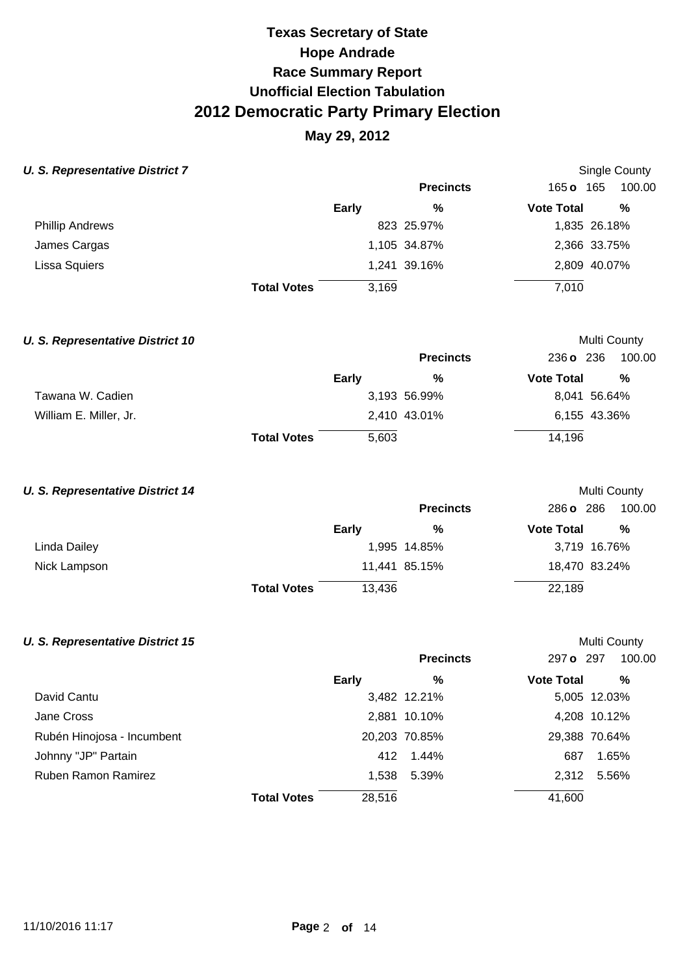## **May 29, 2012**

Single County

Multi County

Multi County

Multi County

### **U. S. Representative District 7**

|                        |                    |       | <b>Precincts</b> | $165$ o           | 165<br>100.00 |
|------------------------|--------------------|-------|------------------|-------------------|---------------|
|                        | <b>Early</b>       |       | %                | <b>Vote Total</b> | %             |
| <b>Phillip Andrews</b> |                    |       | 823 25.97%       |                   | 1,835 26.18%  |
| James Cargas           |                    |       | 1,105 34.87%     |                   | 2,366 33.75%  |
| Lissa Squiers          |                    |       | 1,241 39.16%     |                   | 2,809 40.07%  |
|                        | <b>Total Votes</b> | 3,169 |                  | 7,010             |               |

### **U. S. Representative District 10**

|                        |                    |       | <b>Precincts</b> | 236 o 236         | 100.00       |
|------------------------|--------------------|-------|------------------|-------------------|--------------|
|                        |                    | Early | %                | <b>Vote Total</b> | %            |
| Tawana W. Cadien       |                    |       | 3,193 56.99%     |                   | 8,041 56.64% |
| William E. Miller, Jr. |                    |       | 2,410 43.01%     |                   | 6,155 43.36% |
|                        | <b>Total Votes</b> | 5,603 |                  | 14,196            |              |

### **U. S. Representative District 14**

|              |                              | <b>Precincts</b> | 286 o 286<br>100.00    |  |
|--------------|------------------------------|------------------|------------------------|--|
|              | Early                        | %                | %<br><b>Vote Total</b> |  |
| Linda Dailey |                              | 1,995 14.85%     | 3,719 16.76%           |  |
| Nick Lampson |                              | 11,441 85.15%    | 18,470 83.24%          |  |
|              | 13,436<br><b>Total Votes</b> |                  | 22,189                 |  |

### **U. S. Representative District 15**

|                            |                    |        | <b>Precincts</b> | 297 o 297         | 100.00        |
|----------------------------|--------------------|--------|------------------|-------------------|---------------|
|                            |                    | Early  | %                | <b>Vote Total</b> | %             |
| David Cantu                |                    |        | 3,482 12.21%     |                   | 5,005 12.03%  |
| Jane Cross                 |                    |        | 2,881 10.10%     |                   | 4,208 10.12%  |
| Rubén Hinojosa - Incumbent |                    |        | 20,203 70.85%    |                   | 29,388 70.64% |
| Johnny "JP" Partain        |                    |        | 412 1.44%        | 687               | 1.65%         |
| Ruben Ramon Ramirez        |                    | 1,538  | 5.39%            | 2.312             | 5.56%         |
|                            | <b>Total Votes</b> | 28,516 |                  | 41,600            |               |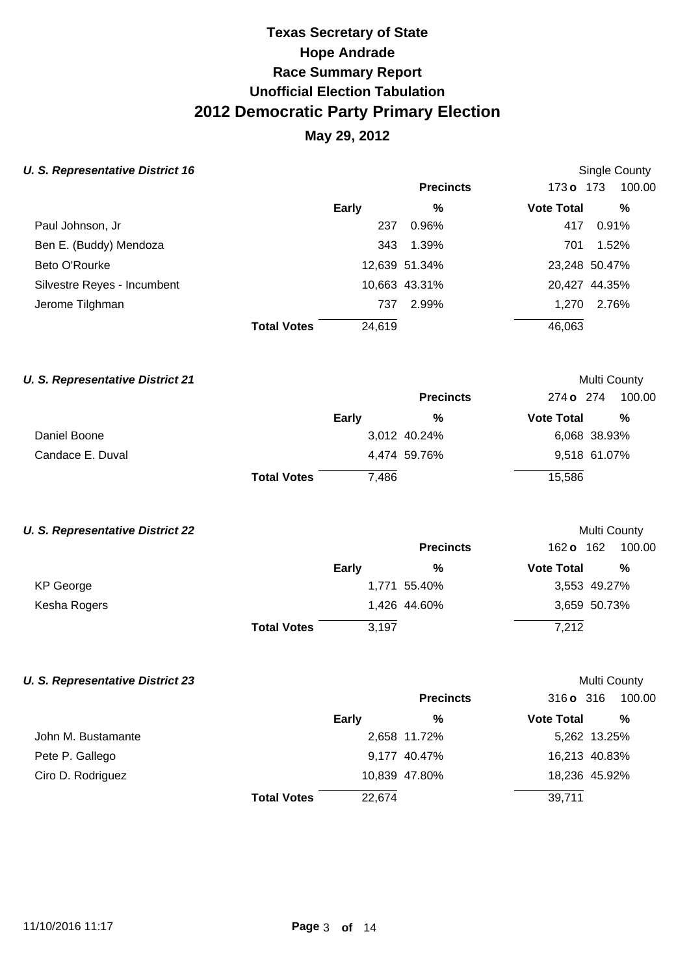## **May 29, 2012**

### **U. S. Representative District 16 Single County County Single County Single County**

|                    |        | <b>Precincts</b> | 173 o 173                             | 100.00        |
|--------------------|--------|------------------|---------------------------------------|---------------|
|                    | Early  | %                | <b>Vote Total</b>                     | %             |
|                    | 237    | 0.96%            | 417                                   | 0.91%         |
|                    |        | 1.39%            | 701                                   | 1.52%         |
|                    |        |                  |                                       | 23,248 50.47% |
|                    |        |                  |                                       | 20,427 44.35% |
|                    | 737    | 2.99%            | 1.270                                 | 2.76%         |
| <b>Total Votes</b> | 24,619 |                  | 46,063                                |               |
|                    |        |                  | 343<br>12,639 51.34%<br>10,663 43.31% |               |

#### **U. S. Representative District 21 Multi County Multi County Multi County**

|                  |                    |              | <b>Precincts</b> | 274 <b>o</b> 274  | 100.00       |
|------------------|--------------------|--------------|------------------|-------------------|--------------|
|                  |                    | <b>Early</b> | %                | <b>Vote Total</b> | %            |
| Daniel Boone     |                    |              | 3,012 40.24%     |                   | 6,068 38.93% |
| Candace E. Duval |                    |              | 4.474 59.76%     |                   | 9,518 61.07% |
|                  | <b>Total Votes</b> | 7.486        |                  | 15,586            |              |

#### **U. S. Representative District 22 Multi County Multi County Multi County**

|              |                    |       | <b>Precincts</b> | 162 <b>o</b>      | 162<br>100.00 |
|--------------|--------------------|-------|------------------|-------------------|---------------|
|              | Early              |       | %                | <b>Vote Total</b> | %             |
| KP George    |                    |       | 1,771 55.40%     |                   | 3,553 49.27%  |
| Kesha Rogers |                    |       | 1,426 44.60%     |                   | 3,659 50.73%  |
|              | <b>Total Votes</b> | 3.197 |                  | 7,212             |               |

### **U. S. Representative District 23 Multi County Multi County Multi County**

|                    |                    |        | <b>Precincts</b> | $316$ o $316$     | 100.00        |
|--------------------|--------------------|--------|------------------|-------------------|---------------|
|                    |                    | Early  | %                | <b>Vote Total</b> | %             |
| John M. Bustamante |                    |        | 2,658 11.72%     |                   | 5,262 13.25%  |
| Pete P. Gallego    |                    |        | 9,177 40.47%     |                   | 16,213 40.83% |
| Ciro D. Rodriguez  |                    |        | 10,839 47.80%    |                   | 18,236 45.92% |
|                    | <b>Total Votes</b> | 22.674 |                  | 39,711            |               |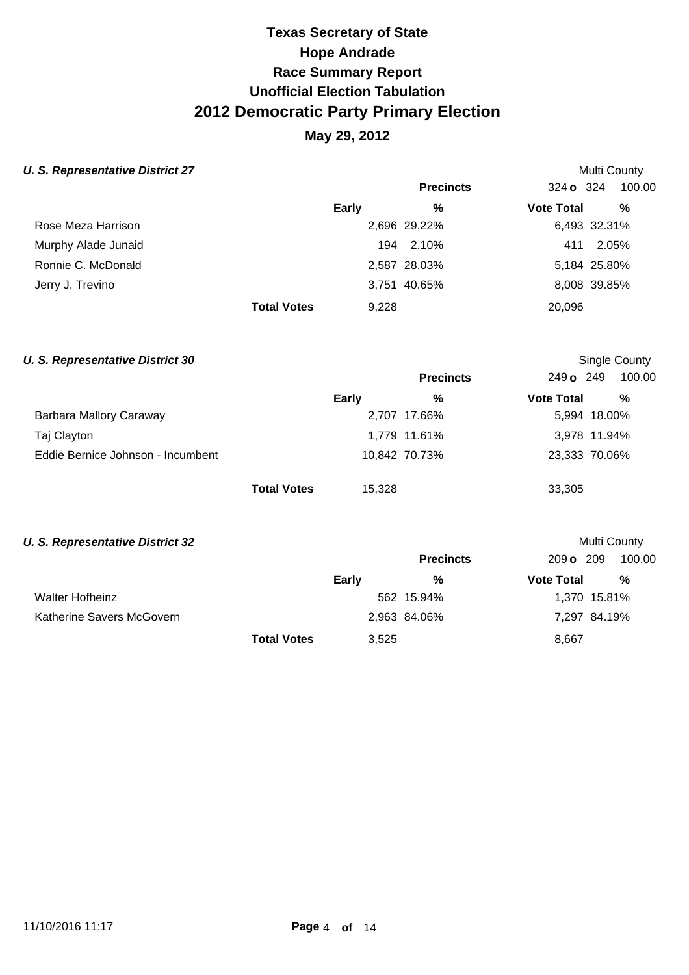## **May 29, 2012**

### **U. S. Representative District 27 Multi County Accounty Accounty Accounty Accounty Accounty Accounty Accounty** Multi County

|                     |                    |              | <b>Precincts</b> | 324 o 324         | 100.00       |
|---------------------|--------------------|--------------|------------------|-------------------|--------------|
|                     |                    | <b>Early</b> | %                | <b>Vote Total</b> | %            |
| Rose Meza Harrison  |                    |              | 2,696 29.22%     |                   | 6,493 32.31% |
| Murphy Alade Junaid |                    |              | 194 2.10%        |                   | 411 2.05%    |
| Ronnie C. McDonald  |                    |              | 2,587 28.03%     |                   | 5,184 25.80% |
| Jerry J. Trevino    |                    |              | 3,751 40.65%     |                   | 8,008 39.85% |
|                     | <b>Total Votes</b> | 9,228        |                  | 20,096            |              |

#### **U. S. Representative District 30 Single County County Single County Single County**

|                                   |                    |        | <b>Precincts</b> | 249 o 249         | 100.00        |
|-----------------------------------|--------------------|--------|------------------|-------------------|---------------|
|                                   | <b>Early</b>       |        | %                | <b>Vote Total</b> | %             |
| Barbara Mallory Caraway           |                    |        | 2,707 17.66%     |                   | 5,994 18.00%  |
| Taj Clayton                       |                    |        | 1,779 11.61%     |                   | 3,978 11.94%  |
| Eddie Bernice Johnson - Incumbent |                    |        | 10,842 70.73%    |                   | 23,333 70.06% |
|                                   | <b>Total Votes</b> | 15,328 |                  | 33,305            |               |

#### **U. S. Representative District 32 Multi County Multi County Multi County**

|                           |                    |       | <b>Precincts</b> | 209 o 209         | 100.00       |
|---------------------------|--------------------|-------|------------------|-------------------|--------------|
|                           |                    | Early | %                | <b>Vote Total</b> | %            |
| <b>Walter Hofheinz</b>    |                    |       | 562 15.94%       |                   | 1,370 15.81% |
| Katherine Savers McGovern |                    |       | 2,963 84.06%     |                   | 7,297 84.19% |
|                           | <b>Total Votes</b> | 3,525 |                  | 8,667             |              |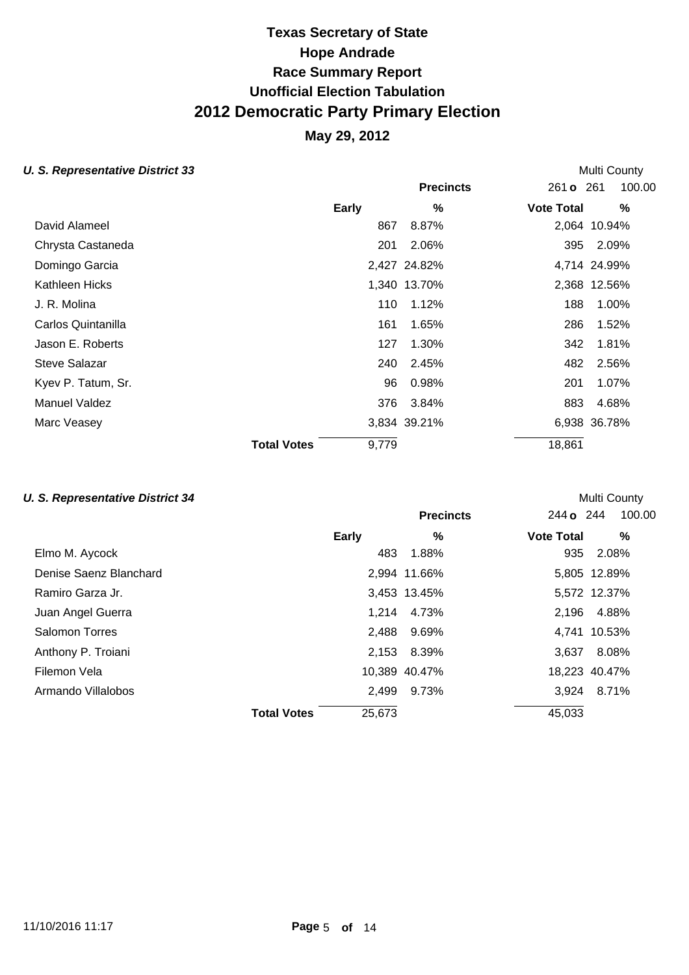### **May 29, 2012**

#### **U. S. Representative District 33 Multi County Accounty Accounty Accounty Multi County Accounty Multi County**

|                      |                    |       | <b>Precincts</b> | 261 <b>o</b> 261  | 100.00       |
|----------------------|--------------------|-------|------------------|-------------------|--------------|
|                      |                    | Early | %                | <b>Vote Total</b> | %            |
| David Alameel        |                    | 867   | 8.87%            |                   | 2,064 10.94% |
| Chrysta Castaneda    |                    | 201   | 2.06%            | 395               | 2.09%        |
| Domingo Garcia       |                    |       | 2,427 24.82%     |                   | 4,714 24.99% |
| Kathleen Hicks       |                    |       | 1,340 13.70%     |                   | 2,368 12.56% |
| J. R. Molina         |                    | 110   | 1.12%            | 188               | 1.00%        |
| Carlos Quintanilla   |                    | 161   | 1.65%            | 286               | 1.52%        |
| Jason E. Roberts     |                    | 127   | 1.30%            | 342               | 1.81%        |
| <b>Steve Salazar</b> |                    | 240   | 2.45%            | 482               | 2.56%        |
| Kyev P. Tatum, Sr.   |                    | 96    | 0.98%            | 201               | 1.07%        |
| Manuel Valdez        |                    | 376   | 3.84%            | 883               | 4.68%        |
| Marc Veasey          |                    |       | 3,834 39.21%     |                   | 6,938 36.78% |
|                      | <b>Total Votes</b> | 9,779 |                  | 18,861            |              |

### **U. S. Representative District 34 Multi County Multi County Multi County**

## **Precincts** 244 **o** 244 100.00 **Early % Vote Total %**  Elmo M. Aycock 483 1.88% 935 2.08% Denise Saenz Blanchard 2,994 11.66% 5,805 12.89% Ramiro Garza Jr. 3,453 13.45% 5,572 12.37% Juan Angel Guerra 1,214 4.73% 2,196 4.88% Salomon Torres 2,488 9.69% 4,741 10.53% Anthony P. Troiani 2,153 8.39% 3,637 8.08% Filemon Vela **10,389 40.47%** 18,223 40.47% Armando Villalobos 2,499 9.73% 3,924 8.71% **Total Votes** 25,673 45,033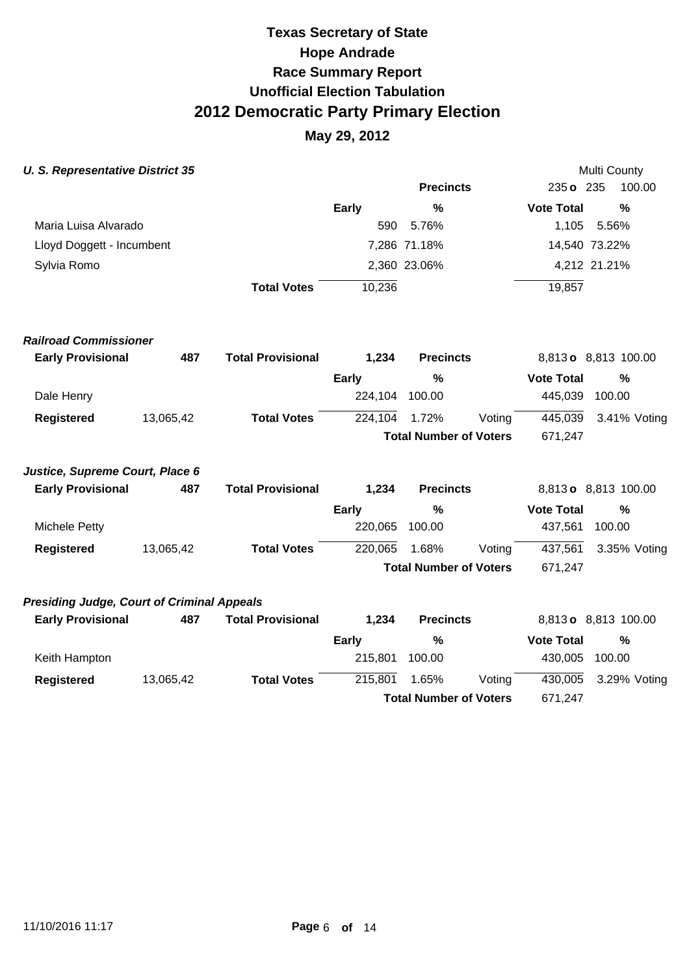|  |  | <b>U. S. Representative District 35</b> |  |
|--|--|-----------------------------------------|--|
|--|--|-----------------------------------------|--|

| <b>U. S. Representative District 35</b>           |           |                              |              |                               |        |                   | Multi County         |  |
|---------------------------------------------------|-----------|------------------------------|--------------|-------------------------------|--------|-------------------|----------------------|--|
|                                                   |           |                              |              | <b>Precincts</b>              |        | 235 o 235         | 100.00               |  |
|                                                   |           |                              | <b>Early</b> | %                             |        | <b>Vote Total</b> | $\%$                 |  |
| Maria Luisa Alvarado                              |           |                              | 590          | 5.76%                         |        | 1,105             | 5.56%                |  |
| Lloyd Doggett - Incumbent                         |           |                              |              | 7,286 71.18%                  |        |                   | 14,540 73.22%        |  |
| Sylvia Romo                                       |           |                              |              | 2,360 23.06%                  |        |                   | 4,212 21.21%         |  |
|                                                   |           | <b>Total Votes</b>           | 10,236       |                               |        | 19,857            |                      |  |
| <b>Railroad Commissioner</b>                      |           |                              |              |                               |        |                   |                      |  |
| <b>Early Provisional</b>                          | 487       | <b>Total Provisional</b>     | 1,234        | <b>Precincts</b>              |        |                   | 8,813 o 8,813 100.00 |  |
|                                                   |           |                              | <b>Early</b> | %                             |        | <b>Vote Total</b> | $\%$                 |  |
| Dale Henry                                        |           |                              | 224,104      | 100.00                        |        | 445,039           | 100.00               |  |
| <b>Registered</b>                                 | 13,065,42 | <b>Total Votes</b>           | 224,104      | 1.72%                         | Voting | 445,039           | 3.41% Voting         |  |
|                                                   |           |                              |              | <b>Total Number of Voters</b> |        | 671,247           |                      |  |
| Justice, Supreme Court, Place 6                   |           |                              |              |                               |        |                   |                      |  |
| <b>Early Provisional</b>                          | 487       | <b>Total Provisional</b>     | 1,234        | <b>Precincts</b>              |        |                   | 8,813 o 8,813 100.00 |  |
|                                                   |           |                              | <b>Early</b> | %                             |        | <b>Vote Total</b> | %                    |  |
| <b>Michele Petty</b>                              |           |                              | 220,065      | 100.00                        |        | 437,561           | 100.00               |  |
| <b>Registered</b>                                 | 13,065,42 | <b>Total Votes</b>           | 220,065      | 1.68%                         | Voting | 437,561           | 3.35% Voting         |  |
|                                                   |           |                              |              | <b>Total Number of Voters</b> |        | 671,247           |                      |  |
| <b>Presiding Judge, Court of Criminal Appeals</b> |           |                              |              |                               |        |                   |                      |  |
| Early Provisional <b>Example</b>                  |           | <b>ARZ</b> Total Provisional | 1 ጋ34        | Pracincts                     |        |                   | 88130 8813 100 00    |  |

| <b>Early Provisional</b> | 487       | <b>Total Provisional</b> | 1.234   | <b>Precincts</b>              |        |                   | 8,813 o 8,813 100.00 |
|--------------------------|-----------|--------------------------|---------|-------------------------------|--------|-------------------|----------------------|
|                          |           |                          | Earlv   | %                             |        | <b>Vote Total</b> | %                    |
| Keith Hampton            |           |                          | 215.801 | 100.00                        |        | 430.005           | 100.00               |
| Registered               | 13,065,42 | <b>Total Votes</b>       | 215.801 | 1.65%                         | Voting | 430.005           | 3.29% Voting         |
|                          |           |                          |         | <b>Total Number of Voters</b> |        | 671.247           |                      |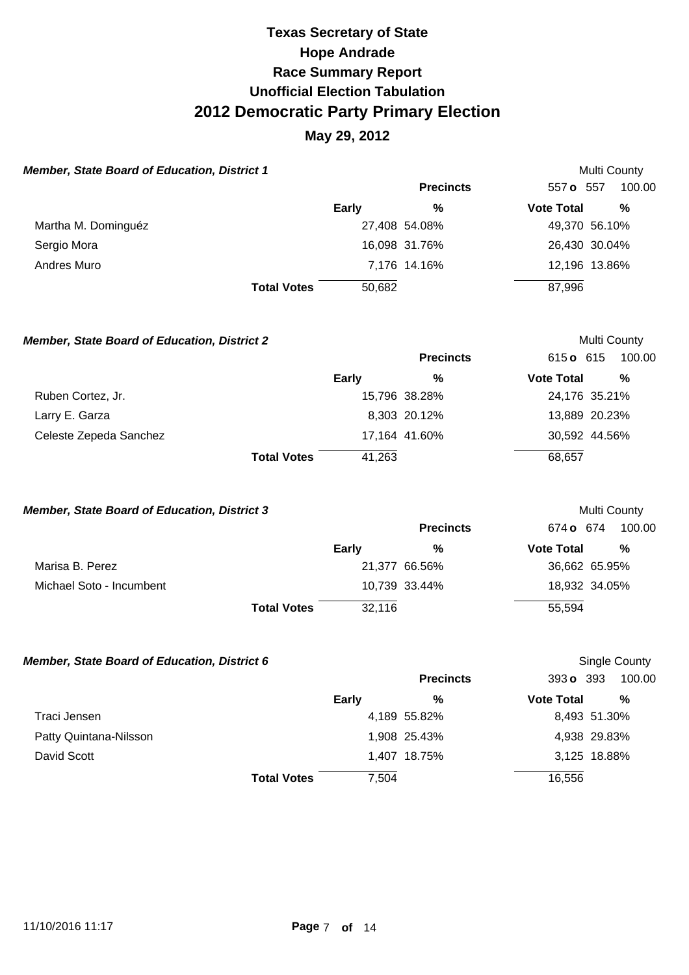### **May 29, 2012**

| <b>Member, State Board of Education, District 1</b> |        |                  |                   | Multi County  |
|-----------------------------------------------------|--------|------------------|-------------------|---------------|
|                                                     |        | <b>Precincts</b> | 557 o 557         | 100.00        |
|                                                     | Early  | %                | <b>Vote Total</b> | %             |
| Martha M. Dominguéz                                 |        | 27,408 54.08%    |                   | 49,370 56.10% |
| Sergio Mora                                         |        | 16,098 31.76%    |                   | 26,430 30.04% |
| Andres Muro                                         |        | 7,176 14.16%     |                   | 12,196 13.86% |
| <b>Total Votes</b>                                  | 50,682 |                  | 87,996            |               |

**Member, State Board of Education, District 2 Multi County Multi County Precincts** 615 **o** 615 100.00 **Early % Vote Total %**  Ruben Cortez, Jr. 15,796 38.28% 24,176 35.21% Larry E. Garza **8,303 20.12%** 13,889 20.23% Celeste Zepeda Sanchez 2003 17,164 41.60% 30,592 44.56% **Total Votes 41,263** 68,657

#### **Member, State Board of Education, District 3 Multi County Multi County**

|                          |                    |        | <b>Precincts</b> | 674 o 674         | 100.00        |
|--------------------------|--------------------|--------|------------------|-------------------|---------------|
|                          |                    | Early  | %                | <b>Vote Total</b> | %             |
| Marisa B. Perez          |                    |        | 21,377 66.56%    |                   | 36,662 65.95% |
| Michael Soto - Incumbent |                    |        | 10,739 33.44%    |                   | 18,932 34.05% |
|                          | <b>Total Votes</b> | 32,116 |                  | 55,594            |               |

#### **Member, State Board of Education, District 6 Single County County County County County**

|                        |                    |       | <b>Precincts</b> | 393 o 393         | 100.00       |
|------------------------|--------------------|-------|------------------|-------------------|--------------|
|                        | Early              |       | %                | <b>Vote Total</b> | %            |
| Traci Jensen           |                    |       | 4,189 55.82%     |                   | 8,493 51.30% |
| Patty Quintana-Nilsson |                    |       | 1,908 25.43%     |                   | 4,938 29.83% |
| David Scott            |                    |       | 1,407 18.75%     |                   | 3,125 18.88% |
|                        | <b>Total Votes</b> | 7,504 |                  | 16,556            |              |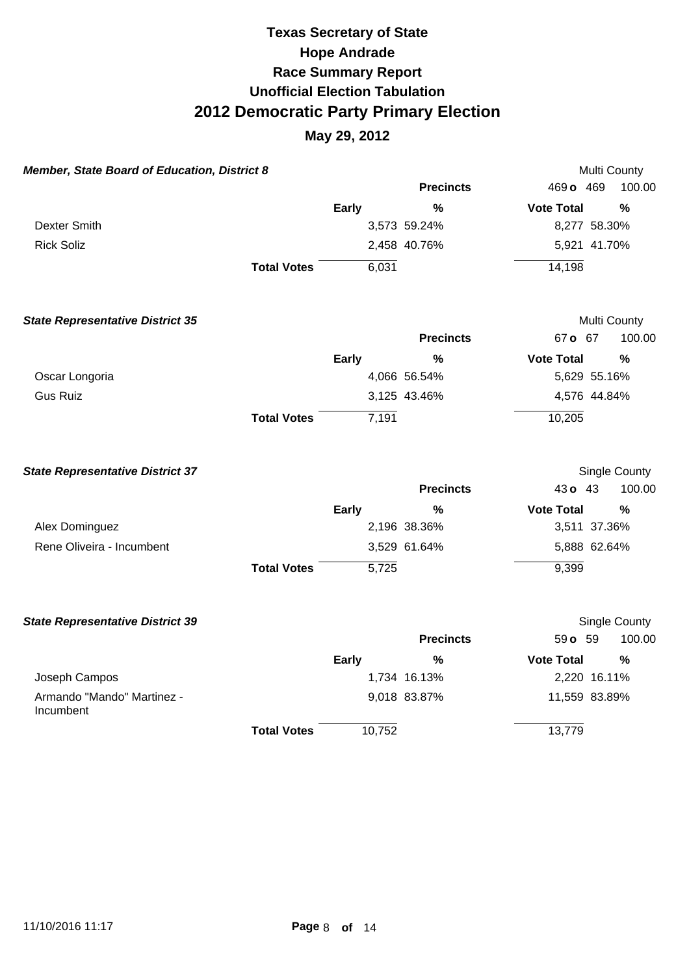| Member, State Board of Education, District 8 |                    |              |                  | Multi County      |               |
|----------------------------------------------|--------------------|--------------|------------------|-------------------|---------------|
|                                              |                    |              | <b>Precincts</b> | 469 o 469         | 100.00        |
|                                              |                    | <b>Early</b> | $\frac{0}{0}$    | <b>Vote Total</b> | $\frac{0}{0}$ |
| <b>Dexter Smith</b>                          |                    |              | 3,573 59.24%     | 8,277 58.30%      |               |
| <b>Rick Soliz</b>                            |                    |              | 2,458 40.76%     | 5,921 41.70%      |               |
|                                              | <b>Total Votes</b> | 6,031        |                  | 14,198            |               |
| <b>State Representative District 35</b>      |                    |              |                  | Multi County      |               |
|                                              |                    |              | <b>Precincts</b> | 67 o 67           | 100.00        |
|                                              |                    | <b>Early</b> | $\%$             | <b>Vote Total</b> | %             |
| Oscar Longoria                               |                    |              | 4,066 56.54%     | 5,629 55.16%      |               |
| <b>Gus Ruiz</b>                              |                    |              | 3,125 43.46%     | 4,576 44.84%      |               |
|                                              | <b>Total Votes</b> | 7,191        |                  | 10,205            |               |
| <b>State Representative District 37</b>      |                    |              |                  |                   | Single County |
|                                              |                    |              | <b>Precincts</b> | 43 o 43           | 100.00        |
|                                              |                    | <b>Early</b> | $\frac{0}{0}$    | <b>Vote Total</b> | $\frac{0}{0}$ |
| Alex Dominguez                               |                    |              | 2,196 38.36%     | 3,511 37.36%      |               |
| Rene Oliveira - Incumbent                    |                    |              | 3,529 61.64%     | 5,888 62.64%      |               |
|                                              | <b>Total Votes</b> | 5,725        |                  | 9,399             |               |
| <b>State Representative District 39</b>      |                    |              |                  |                   | Single County |
|                                              |                    |              | <b>Precincts</b> | 59 o 59           | 100.00        |
|                                              |                    | <b>Early</b> | %                | <b>Vote Total</b> | %             |
| Joseph Campos                                |                    |              | 1,734 16.13%     | 2,220 16.11%      |               |
| Armando "Mando" Martinez -<br>Incumbent      |                    |              | 9,018 83.87%     | 11,559 83.89%     |               |
|                                              | <b>Total Votes</b> | 10,752       |                  | 13,779            |               |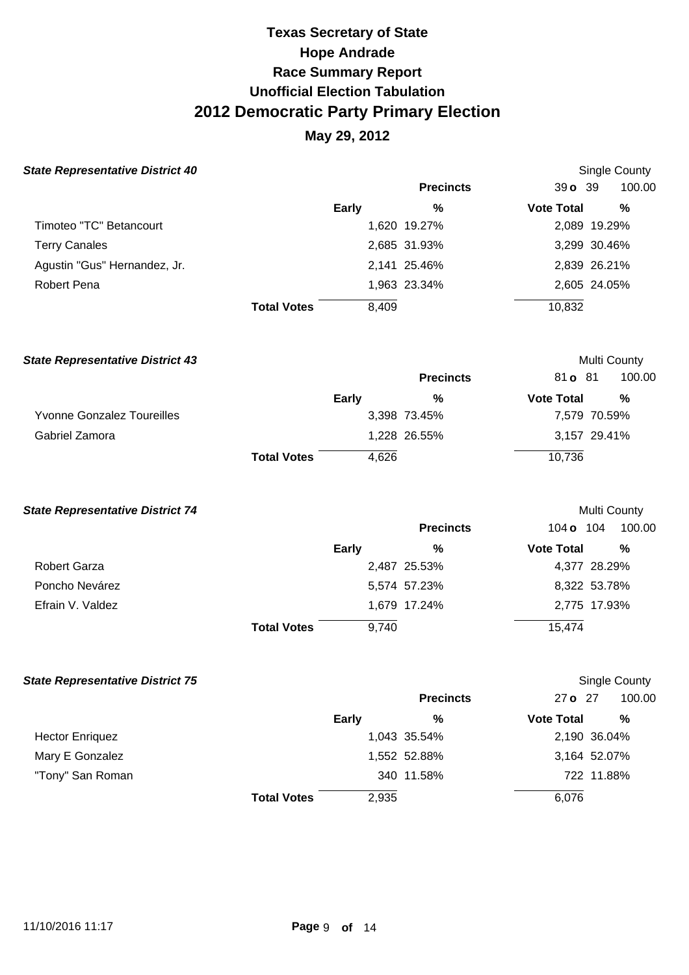## **May 29, 2012**

| <b>State Representative District 40</b> |                    |       |                  |                   | Single County           |
|-----------------------------------------|--------------------|-------|------------------|-------------------|-------------------------|
|                                         |                    |       | <b>Precincts</b> | $39o$ 39          | 100.00                  |
|                                         |                    | Early | %                | <b>Vote Total</b> | %                       |
| Timoteo "TC" Betancourt                 |                    |       | 1,620 19.27%     |                   | 2,089 19.29%            |
| <b>Terry Canales</b>                    |                    |       | 2,685 31.93%     |                   | 3,299 30.46%            |
| Agustin "Gus" Hernandez, Jr.            |                    |       | 2,141 25.46%     |                   | 2,839 26.21%            |
| <b>Robert Pena</b>                      |                    |       | 1,963 23.34%     |                   | 2,605 24.05%            |
|                                         | <b>Total Votes</b> | 8,409 |                  | 10,832            |                         |
| <b>State Representative District 43</b> |                    |       |                  |                   | <b>Multi County</b>     |
|                                         |                    |       | <b>Precincts</b> | 81 <b>o</b> 81    | 100.00                  |
|                                         |                    | Farly | $\frac{0}{2}$    | Vote Total        | $\mathbf{O}/\mathbf{A}$ |

|                                   | <b>Early</b>                | %            | <b>Vote Total</b> | %            |
|-----------------------------------|-----------------------------|--------------|-------------------|--------------|
| <b>Yvonne Gonzalez Toureilles</b> |                             | 3,398 73.45% |                   | 7,579 70.59% |
| Gabriel Zamora                    |                             | 1,228 26.55% |                   | 3,157 29.41% |
|                                   | 4.626<br><b>Total Votes</b> |              | 10,736            |              |

| <b>State Representative District 74</b> |  |
|-----------------------------------------|--|
|-----------------------------------------|--|

|                  |                    |       | <b>Precincts</b> | 104 <b>o</b> 104  | 100.00       |
|------------------|--------------------|-------|------------------|-------------------|--------------|
|                  |                    | Early | %                | <b>Vote Total</b> | %            |
| Robert Garza     |                    |       | 2,487 25.53%     |                   | 4,377 28.29% |
| Poncho Nevárez   |                    |       | 5,574 57.23%     |                   | 8,322 53.78% |
| Efrain V. Valdez |                    |       | 1,679 17.24%     |                   | 2,775 17.93% |
|                  | <b>Total Votes</b> | 9.740 |                  | 15,474            |              |

Multi County

| <b>State Representative District 75</b> |                    |              |                  |                   | Single County |
|-----------------------------------------|--------------------|--------------|------------------|-------------------|---------------|
|                                         |                    |              | <b>Precincts</b> | $27o$ 27          | 100.00        |
|                                         |                    | <b>Early</b> | %                | <b>Vote Total</b> | %             |
| <b>Hector Enriquez</b>                  |                    |              | 1,043 35.54%     |                   | 2,190 36.04%  |
| Mary E Gonzalez                         |                    |              | 1,552 52.88%     |                   | 3,164 52.07%  |
| "Tony" San Roman                        |                    |              | 340 11.58%       |                   | 722 11.88%    |
|                                         | <b>Total Votes</b> | 2,935        |                  | 6.076             |               |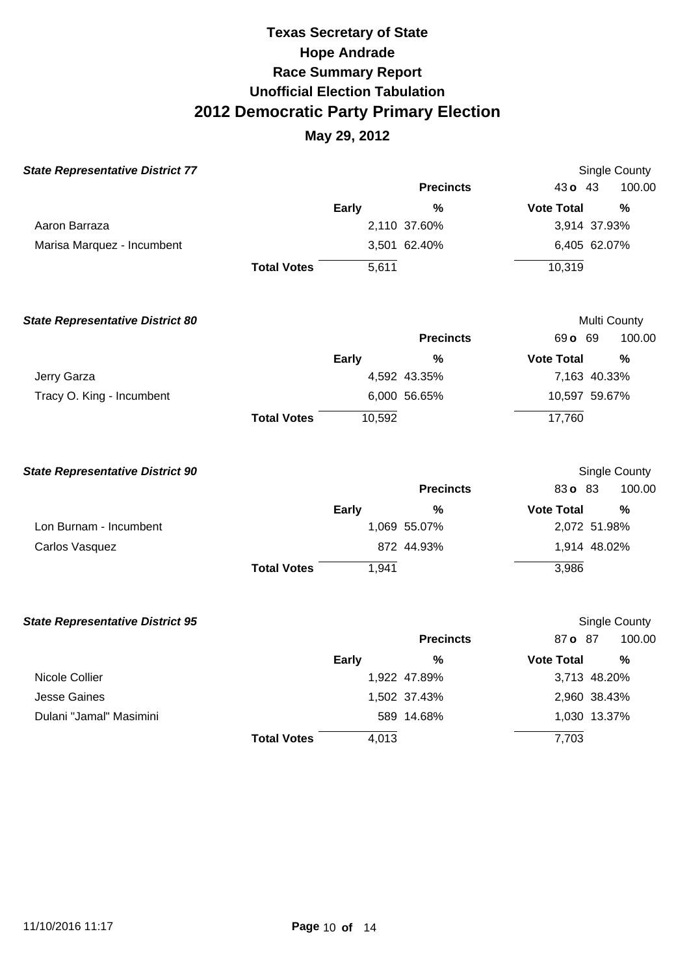| <b>State Representative District 77</b> |                    |              |                  | <b>Single County</b>  |               |
|-----------------------------------------|--------------------|--------------|------------------|-----------------------|---------------|
|                                         |                    |              | <b>Precincts</b> | 43 o 43               | 100.00        |
|                                         |                    | <b>Early</b> | %                | <b>Vote Total</b>     | $\%$          |
| Aaron Barraza                           |                    |              | 2,110 37.60%     | 3,914 37.93%          |               |
| Marisa Marquez - Incumbent              |                    |              | 3,501 62.40%     | 6,405 62.07%          |               |
|                                         | <b>Total Votes</b> | 5,611        |                  | 10,319                |               |
| <b>State Representative District 80</b> |                    |              |                  | Multi County          |               |
|                                         |                    |              | <b>Precincts</b> | 69 o 69               | 100.00        |
|                                         |                    | <b>Early</b> | %                | <b>Vote Total</b>     | %             |
| Jerry Garza                             |                    |              | 4,592 43.35%     | 7,163 40.33%          |               |
| Tracy O. King - Incumbent               |                    |              | 6,000 56.65%     | 10,597 59.67%         |               |
|                                         | <b>Total Votes</b> | 10,592       |                  | 17,760                |               |
| <b>State Representative District 90</b> |                    |              |                  | <b>Single County</b>  |               |
|                                         |                    |              | <b>Precincts</b> | 83o 83                | 100.00        |
|                                         |                    | Early        | $\frac{0}{0}$    | <b>Vote Total</b>     | $\frac{0}{0}$ |
| Lon Burnam - Incumbent                  |                    |              | 1,069 55.07%     | 2,072 51.98%          |               |
| Carlos Vasquez                          |                    |              | 872 44.93%       | 1,914 48.02%          |               |
|                                         | <b>Total Votes</b> | 1,941        |                  | 3,986                 |               |
| <b>State Representative District 95</b> |                    |              |                  | Single County         |               |
|                                         |                    |              | <b>Precincts</b> | 87 o 87               | 100.00        |
|                                         |                    | <b>Early</b> | %                | <b>Vote Total</b>     | %             |
| Nicole Collier                          |                    |              | 1,922 47.89%     | 3,713 48.20%          |               |
| <b>Jesse Gaines</b>                     |                    |              | 1,502 37.43%     | 2,960 38.43%          |               |
|                                         |                    |              |                  |                       |               |
| Dulani "Jamal" Masimini                 | <b>Total Votes</b> | 4,013        | 589 14.68%       | 1,030 13.37%<br>7,703 |               |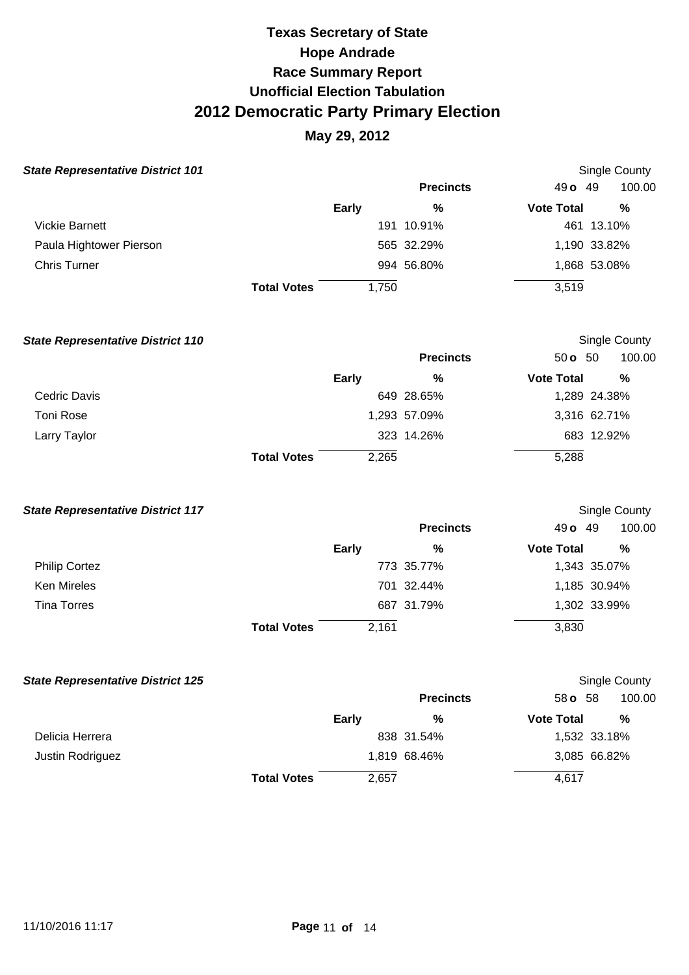| <b>State Representative District 101</b> |                    |              |                  | Single County     |              |  |
|------------------------------------------|--------------------|--------------|------------------|-------------------|--------------|--|
|                                          |                    |              | <b>Precincts</b> | $49o$ 49          | 100.00       |  |
|                                          |                    | <b>Early</b> | %                | <b>Vote Total</b> | %            |  |
| Vickie Barnett                           |                    |              | 191 10.91%       |                   | 461 13.10%   |  |
| Paula Hightower Pierson                  |                    |              | 565 32.29%       |                   | 1,190 33.82% |  |
| <b>Chris Turner</b>                      |                    |              | 994 56.80%       |                   | 1,868 53.08% |  |
|                                          | <b>Total Votes</b> | 1,750        |                  | 3,519             |              |  |

| <b>State Representative District 110</b> |                    |              |                  | Single County     |              |
|------------------------------------------|--------------------|--------------|------------------|-------------------|--------------|
|                                          |                    |              | <b>Precincts</b> | 50 $\sigma$ 50    | 100.00       |
|                                          |                    | <b>Early</b> | %                | <b>Vote Total</b> | %            |
| Cedric Davis                             |                    |              | 649 28.65%       |                   | 1,289 24.38% |
| Toni Rose                                |                    |              | 1,293 57.09%     |                   | 3,316 62.71% |
| Larry Taylor                             |                    |              | 323 14.26%       |                   | 683 12.92%   |
|                                          | <b>Total Votes</b> | 2,265        |                  | 5,288             |              |

| <b>State Representative District 117</b> |                    |              |                  | <b>Single County</b> |              |  |
|------------------------------------------|--------------------|--------------|------------------|----------------------|--------------|--|
|                                          |                    |              | <b>Precincts</b> | 49 <b>o</b> 49       | 100.00       |  |
|                                          |                    | <b>Early</b> | %                | <b>Vote Total</b>    | %            |  |
| <b>Philip Cortez</b>                     |                    |              | 773 35.77%       |                      | 1,343 35.07% |  |
| Ken Mireles                              |                    |              | 701 32.44%       |                      | 1,185 30.94% |  |
| <b>Tina Torres</b>                       |                    |              | 687 31.79%       |                      | 1,302 33.99% |  |
|                                          | <b>Total Votes</b> | 2,161        |                  | 3,830                |              |  |

| <b>State Representative District 125</b> |                    |              |                  |                   | <b>Single County</b> |
|------------------------------------------|--------------------|--------------|------------------|-------------------|----------------------|
|                                          |                    |              | <b>Precincts</b> | 58 <b>o</b> 58    | 100.00               |
|                                          |                    | <b>Early</b> | %                | <b>Vote Total</b> | %                    |
| Delicia Herrera                          |                    |              | 838 31.54%       |                   | 1,532 33.18%         |
| Justin Rodriguez                         |                    |              | 1,819 68.46%     |                   | 3,085 66.82%         |
|                                          | <b>Total Votes</b> | 2,657        |                  | 4,617             |                      |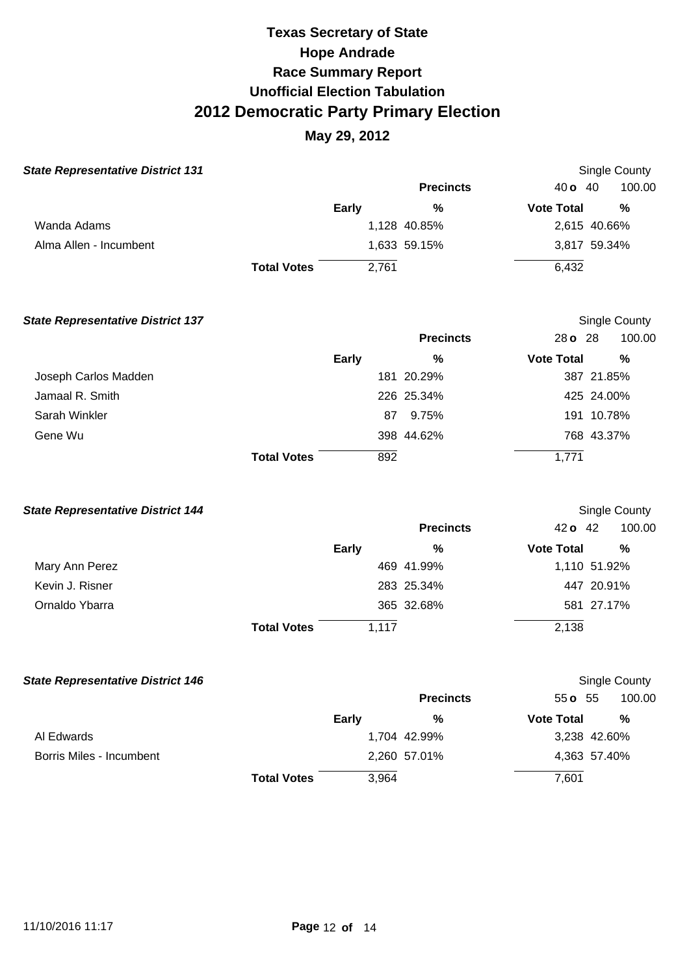|                    |              |                  |                              | Single County |
|--------------------|--------------|------------------|------------------------------|---------------|
|                    |              | <b>Precincts</b> | 40 <b>o</b> 40               | 100.00        |
|                    | <b>Early</b> | %                | <b>Vote Total</b>            | %             |
|                    |              |                  |                              | 2,615 40.66%  |
|                    |              |                  |                              | 3,817 59.34%  |
| <b>Total Votes</b> | 2,761        |                  | 6,432                        |               |
|                    |              |                  | 1,128 40.85%<br>1,633 59.15% |               |

| <b>State Representative District 137</b> |                    |              |                  |                   | Single County |
|------------------------------------------|--------------------|--------------|------------------|-------------------|---------------|
|                                          |                    |              | <b>Precincts</b> | 28 o 28           | 100.00        |
|                                          |                    | <b>Early</b> | %                | <b>Vote Total</b> | $\%$          |
| Joseph Carlos Madden                     |                    |              | 181 20.29%       |                   | 387 21.85%    |
| Jamaal R. Smith                          |                    |              | 226 25.34%       |                   | 425 24.00%    |
| Sarah Winkler                            |                    |              | 9.75%<br>87      |                   | 191 10.78%    |
| Gene Wu                                  |                    |              | 398 44.62%       |                   | 768 43.37%    |
|                                          | <b>Total Votes</b> |              | 892              | 1,771             |               |

| <b>State Representative District 144</b> |                    |              |                  | Single County     |              |  |
|------------------------------------------|--------------------|--------------|------------------|-------------------|--------------|--|
|                                          |                    |              | <b>Precincts</b> | 42 o 42           | 100.00       |  |
|                                          |                    | <b>Early</b> | %                | <b>Vote Total</b> | %            |  |
| Mary Ann Perez                           |                    |              | 469 41.99%       |                   | 1,110 51.92% |  |
| Kevin J. Risner                          |                    |              | 283 25.34%       |                   | 447 20.91%   |  |
| Ornaldo Ybarra                           |                    |              | 365 32.68%       |                   | 581 27.17%   |  |
|                                          | <b>Total Votes</b> | 1,117        |                  | 2,138             |              |  |

| <b>State Representative District 146</b> |                    |              |                  |                   | Single County |
|------------------------------------------|--------------------|--------------|------------------|-------------------|---------------|
|                                          |                    |              | <b>Precincts</b> | $55 \text{ o}$ 55 | 100.00        |
|                                          |                    | <b>Early</b> | %                | <b>Vote Total</b> | %             |
| Al Edwards                               |                    |              | 1,704 42.99%     |                   | 3,238 42.60%  |
| Borris Miles - Incumbent                 |                    |              | 2,260 57.01%     |                   | 4,363 57.40%  |
|                                          | <b>Total Votes</b> | 3,964        |                  | 7,601             |               |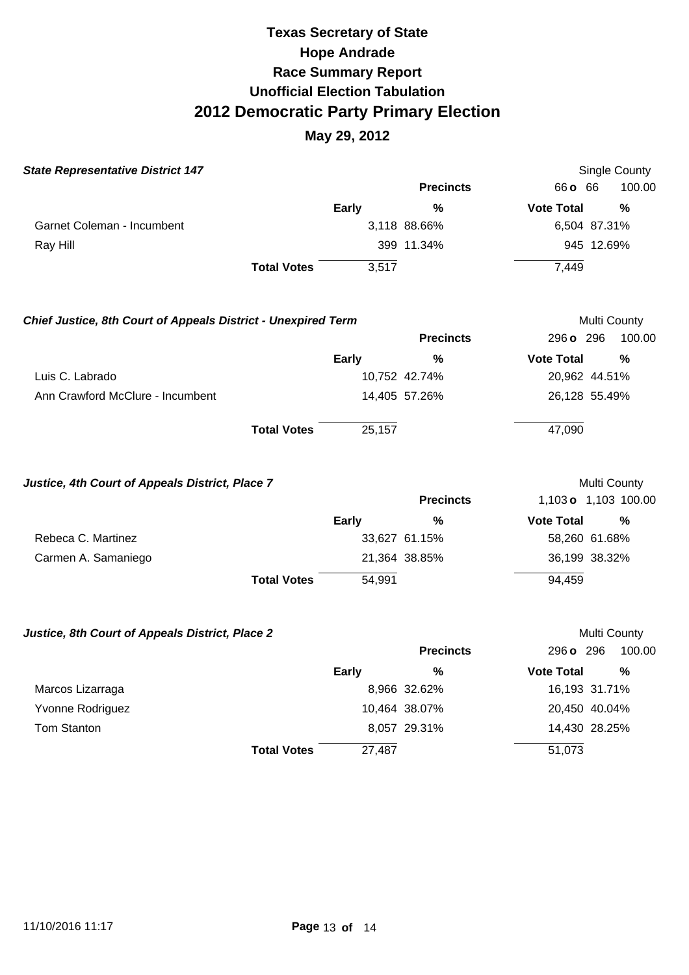| <b>State Representative District 147</b>                      |                    |              |                  |                   | Single County        |
|---------------------------------------------------------------|--------------------|--------------|------------------|-------------------|----------------------|
|                                                               |                    |              | <b>Precincts</b> | 66 <b>o</b> 66    | 100.00               |
|                                                               |                    | <b>Early</b> | %                | <b>Vote Total</b> | %                    |
| Garnet Coleman - Incumbent                                    |                    |              | 3,118 88.66%     | 6,504 87.31%      |                      |
| Ray Hill                                                      |                    |              | 399 11.34%       |                   | 945 12.69%           |
|                                                               | <b>Total Votes</b> | 3,517        |                  | 7,449             |                      |
| Chief Justice, 8th Court of Appeals District - Unexpired Term |                    |              |                  |                   | Multi County         |
|                                                               |                    |              | <b>Precincts</b> | 296 o 296         | 100.00               |
|                                                               |                    | Early        | $\frac{0}{0}$    | <b>Vote Total</b> | %                    |
| Luis C. Labrado                                               |                    |              | 10,752 42.74%    | 20,962 44.51%     |                      |
| Ann Crawford McClure - Incumbent                              |                    |              | 14,405 57.26%    | 26,128 55.49%     |                      |
|                                                               | <b>Total Votes</b> | 25,157       |                  | 47,090            |                      |
| Justice, 4th Court of Appeals District, Place 7               |                    |              |                  |                   | Multi County         |
|                                                               |                    |              | <b>Precincts</b> |                   | 1,103 o 1,103 100.00 |
|                                                               |                    | <b>Early</b> | %                | <b>Vote Total</b> | %                    |
| Rebeca C. Martinez                                            |                    |              | 33,627 61.15%    | 58,260 61.68%     |                      |
| Carmen A. Samaniego                                           |                    |              | 21,364 38.85%    | 36,199 38.32%     |                      |
|                                                               | <b>Total Votes</b> | 54,991       |                  | 94,459            |                      |
| Justice, 8th Court of Appeals District, Place 2               |                    |              |                  |                   | Multi County         |
|                                                               |                    |              | <b>Precincts</b> | 296 o 296         | 100.00               |
|                                                               |                    | <b>Early</b> | %                | <b>Vote Total</b> | $\frac{0}{0}$        |
| Marcos Lizarraga                                              |                    |              | 8,966 32.62%     | 16,193 31.71%     |                      |
| Yvonne Rodriguez                                              |                    |              | 10,464 38.07%    | 20,450 40.04%     |                      |
| Tom Stanton                                                   |                    |              | 8,057 29.31%     | 14,430 28.25%     |                      |
|                                                               | <b>Total Votes</b> | 27,487       |                  | 51,073            |                      |